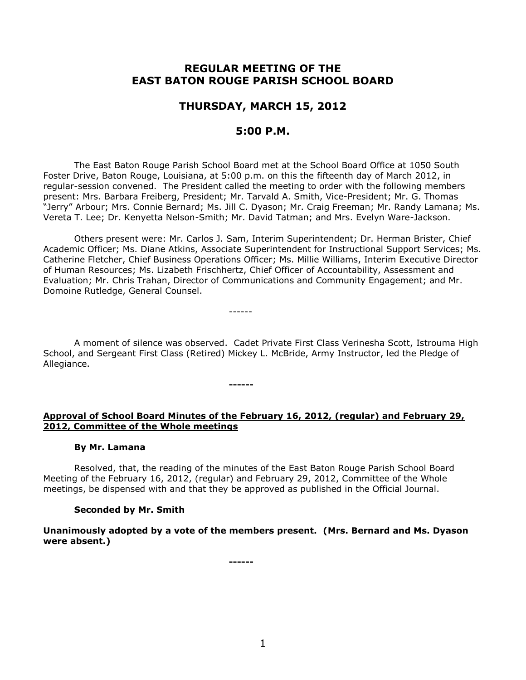# **REGULAR MEETING OF THE EAST BATON ROUGE PARISH SCHOOL BOARD**

# **THURSDAY, MARCH 15, 2012**

## **5:00 P.M.**

The East Baton Rouge Parish School Board met at the School Board Office at 1050 South Foster Drive, Baton Rouge, Louisiana, at 5:00 p.m. on this the fifteenth day of March 2012, in regular-session convened. The President called the meeting to order with the following members present: Mrs. Barbara Freiberg, President; Mr. Tarvald A. Smith, Vice-President; Mr. G. Thomas "Jerry" Arbour; Mrs. Connie Bernard; Ms. Jill C. Dyason; Mr. Craig Freeman; Mr. Randy Lamana; Ms. Vereta T. Lee; Dr. Kenyetta Nelson-Smith; Mr. David Tatman; and Mrs. Evelyn Ware-Jackson.

Others present were: Mr. Carlos J. Sam, Interim Superintendent; Dr. Herman Brister, Chief Academic Officer; Ms. Diane Atkins, Associate Superintendent for Instructional Support Services; Ms. Catherine Fletcher, Chief Business Operations Officer; Ms. Millie Williams, Interim Executive Director of Human Resources; Ms. Lizabeth Frischhertz, Chief Officer of Accountability, Assessment and Evaluation; Mr. Chris Trahan, Director of Communications and Community Engagement; and Mr. Domoine Rutledge, General Counsel.

A moment of silence was observed. Cadet Private First Class Verinesha Scott, Istrouma High School, and Sergeant First Class (Retired) Mickey L. McBride, Army Instructor, led the Pledge of Allegiance.

#### **------**

------

## **Approval of School Board Minutes of the February 16, 2012, (regular) and February 29, 2012, Committee of the Whole meetings**

## **By Mr. Lamana**

Resolved, that, the reading of the minutes of the East Baton Rouge Parish School Board Meeting of the February 16, 2012, (regular) and February 29, 2012, Committee of the Whole meetings, be dispensed with and that they be approved as published in the Official Journal.

# **Seconded by Mr. Smith**

**Unanimously adopted by a vote of the members present. (Mrs. Bernard and Ms. Dyason were absent.)**

**------**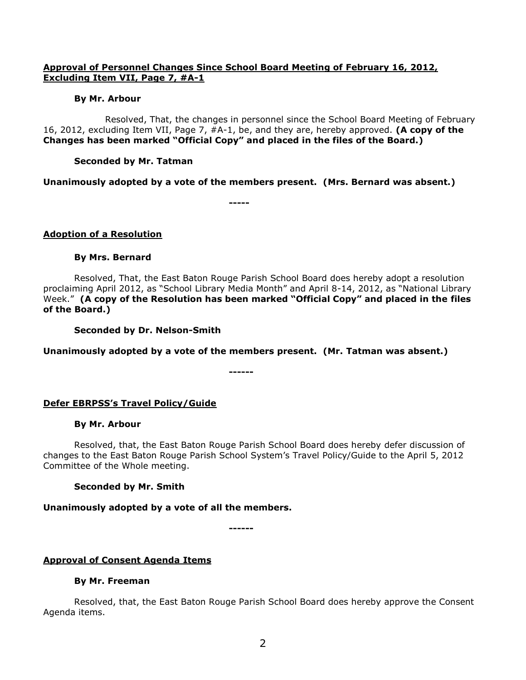### **Approval of Personnel Changes Since School Board Meeting of February 16, 2012, Excluding Item VII, Page 7, #A-1**

### **By Mr. Arbour**

Resolved, That, the changes in personnel since the School Board Meeting of February 16, 2012, excluding Item VII, Page 7, #A-1, be, and they are, hereby approved. **(A copy of the Changes has been marked "Official Copy" and placed in the files of the Board.)**

### **Seconded by Mr. Tatman**

**Unanimously adopted by a vote of the members present. (Mrs. Bernard was absent.)**

**-----**

### **Adoption of a Resolution**

### **By Mrs. Bernard**

Resolved, That, the East Baton Rouge Parish School Board does hereby adopt a resolution proclaiming April 2012, as "School Library Media Month" and April 8-14, 2012, as "National Library Week." **(A copy of the Resolution has been marked "Official Copy" and placed in the files of the Board.)**

**Seconded by Dr. Nelson-Smith**

**Unanimously adopted by a vote of the members present. (Mr. Tatman was absent.)**

**------**

## **Defer EBRPSS's Travel Policy/Guide**

### **By Mr. Arbour**

Resolved, that, the East Baton Rouge Parish School Board does hereby defer discussion of changes to the East Baton Rouge Parish School System's Travel Policy/Guide to the April 5, 2012 Committee of the Whole meeting.

## **Seconded by Mr. Smith**

## **Unanimously adopted by a vote of all the members.**

**------**

## **Approval of Consent Agenda Items**

### **By Mr. Freeman**

Resolved, that, the East Baton Rouge Parish School Board does hereby approve the Consent Agenda items.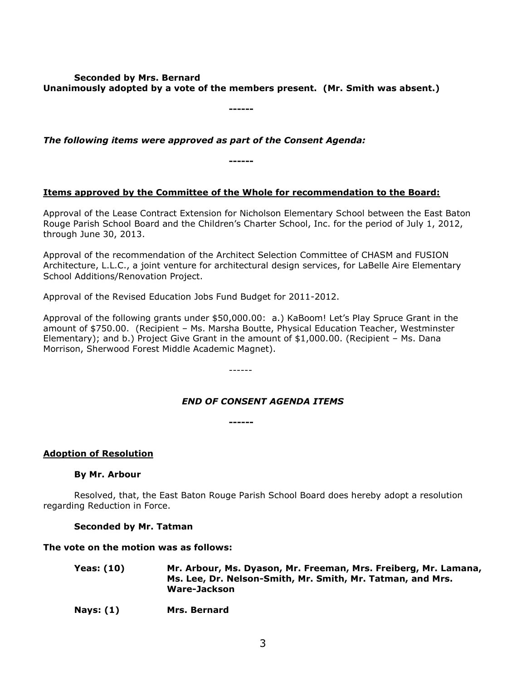### **Seconded by Mrs. Bernard Unanimously adopted by a vote of the members present. (Mr. Smith was absent.)**

**------**

*The following items were approved as part of the Consent Agenda:*

**------**

# **Items approved by the Committee of the Whole for recommendation to the Board:**

Approval of the Lease Contract Extension for Nicholson Elementary School between the East Baton Rouge Parish School Board and the Children's Charter School, Inc. for the period of July 1, 2012, through June 30, 2013.

Approval of the recommendation of the Architect Selection Committee of CHASM and FUSION Architecture, L.L.C., a joint venture for architectural design services, for LaBelle Aire Elementary School Additions/Renovation Project.

Approval of the Revised Education Jobs Fund Budget for 2011-2012.

Approval of the following grants under \$50,000.00: a.) KaBoom! Let's Play Spruce Grant in the amount of \$750.00. (Recipient – Ms. Marsha Boutte, Physical Education Teacher, Westminster Elementary); and b.) Project Give Grant in the amount of \$1,000.00. (Recipient – Ms. Dana Morrison, Sherwood Forest Middle Academic Magnet).

------

## *END OF CONSENT AGENDA ITEMS*

**------**

## **Adoption of Resolution**

### **By Mr. Arbour**

Resolved, that, the East Baton Rouge Parish School Board does hereby adopt a resolution regarding Reduction in Force.

## **Seconded by Mr. Tatman**

### **The vote on the motion was as follows:**

| <b>Yeas: (10)</b> | Mr. Arbour, Ms. Dyason, Mr. Freeman, Mrs. Freiberg, Mr. Lamana, |
|-------------------|-----------------------------------------------------------------|
|                   | Ms. Lee, Dr. Nelson-Smith, Mr. Smith, Mr. Tatman, and Mrs.      |
|                   | Ware-Jackson                                                    |
|                   |                                                                 |

**Nays: (1) Mrs. Bernard**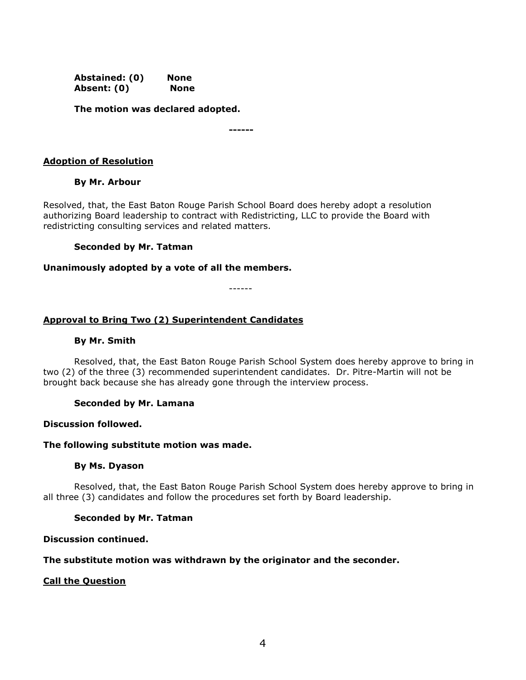**Abstained: (0) None Absent: (0) None**

**The motion was declared adopted.**

**------**

### **Adoption of Resolution**

### **By Mr. Arbour**

Resolved, that, the East Baton Rouge Parish School Board does hereby adopt a resolution authorizing Board leadership to contract with Redistricting, LLC to provide the Board with redistricting consulting services and related matters.

### **Seconded by Mr. Tatman**

### **Unanimously adopted by a vote of all the members.**

------

### **Approval to Bring Two (2) Superintendent Candidates**

### **By Mr. Smith**

Resolved, that, the East Baton Rouge Parish School System does hereby approve to bring in two (2) of the three (3) recommended superintendent candidates. Dr. Pitre-Martin will not be brought back because she has already gone through the interview process.

### **Seconded by Mr. Lamana**

### **Discussion followed.**

### **The following substitute motion was made.**

### **By Ms. Dyason**

Resolved, that, the East Baton Rouge Parish School System does hereby approve to bring in all three (3) candidates and follow the procedures set forth by Board leadership.

### **Seconded by Mr. Tatman**

### **Discussion continued.**

### **The substitute motion was withdrawn by the originator and the seconder.**

### **Call the Question**